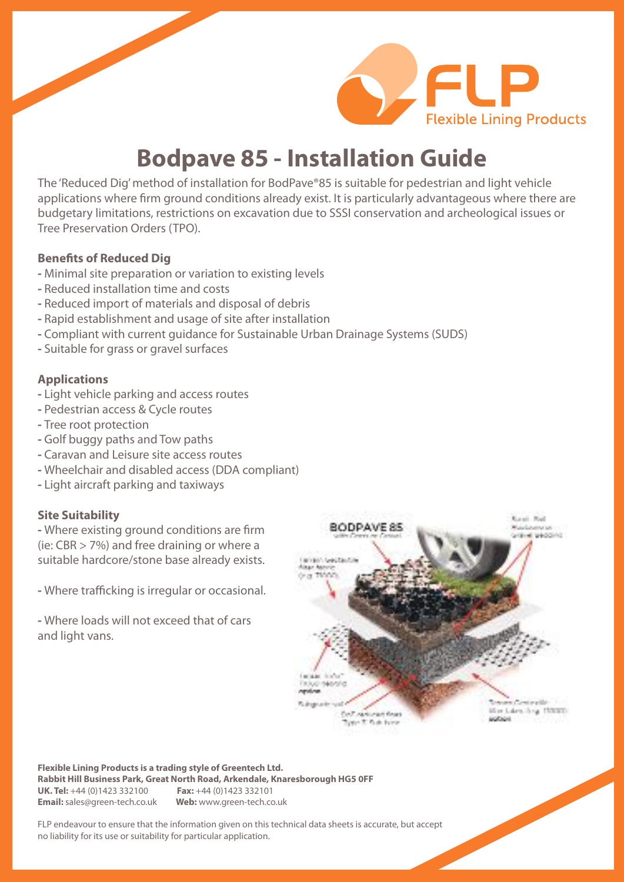

# **Bodpave 85 - Installation Guide**

The 'Reduced Dig'method of installation for BodPave®85 is suitable for pedestrian and light vehicle applications where firm ground conditions already exist. It is particularly advantageous where there are budgetary limitations, restrictions on excavation due to SSSI conservation and archeological issues or Tree Preservation Orders (TPO).

#### **Benefits of Reduced Dig**

- **-** Minimal site preparation or variation to existing levels
- **-** Reduced installation time and costs
- **-** Reduced import of materials and disposal of debris
- **-** Rapid establishment and usage of site after installation
- **-** Compliant with current guidance for Sustainable Urban Drainage Systems (SUDS)
- **-** Suitable for grass or gravel surfaces

#### **Applications**

- **-** Light vehicle parking and access routes
- **-** Pedestrian access & Cycle routes
- **-** Tree root protection
- **-** Golf buggy paths and Tow paths
- **-** Caravan and Leisure site access routes
- **-** Wheelchair and disabled access (DDA compliant)
- **-** Light aircraft parking and taxiways

#### **Site Suitability**

**-** Where existing ground conditions are firm (ie: CBR > 7%) and free draining or where a suitable hardcore/stone base already exists.

**-** Where trafficking is irregular or occasional.

**-** Where loads will not exceed that of cars and light vans.



**Flexible Lining Products is a trading style of Greentech Ltd. Rabbit Hill Business Park, Great North Road, Arkendale, Knaresborough HG5 0FF UK. Tel:** +44 (0)1423 332100 **Fax:** +44 (0)1423 332101 **Email:** sales@green-tech.co.uk **Web:** www.green-tech.co.uk

FLP endeavour to ensure that the information given on this technical data sheets is accurate, but accept no liability for its use or suitability for particular application.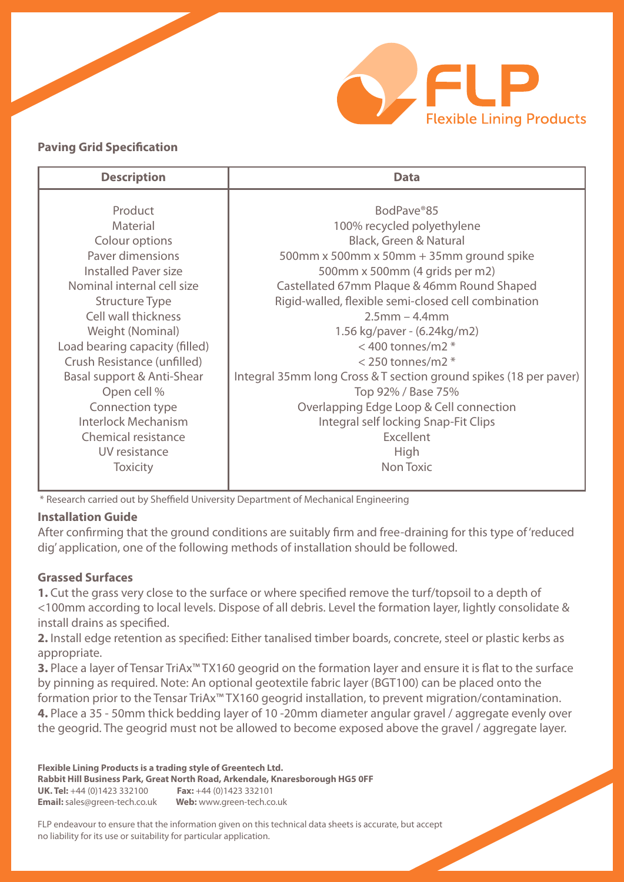

## **Paving Grid Specification**

| <b>Description</b>             | <b>Data</b>                                                       |
|--------------------------------|-------------------------------------------------------------------|
|                                |                                                                   |
| Product                        | BodPave®85                                                        |
| Material                       | 100% recycled polyethylene                                        |
| Colour options                 | <b>Black, Green &amp; Natural</b>                                 |
| Paver dimensions               | 500mm x 500mm x 50mm + 35mm ground spike                          |
| <b>Installed Paver size</b>    | 500mm x 500mm (4 grids per m2)                                    |
| Nominal internal cell size     | Castellated 67mm Plaque & 46mm Round Shaped                       |
| <b>Structure Type</b>          | Rigid-walled, flexible semi-closed cell combination               |
| Cell wall thickness            | $2.5$ mm – 4.4mm                                                  |
| Weight (Nominal)               | 1.56 kg/paver - (6.24kg/m2)                                       |
| Load bearing capacity (filled) | $<$ 400 tonnes/m2 $*$                                             |
| Crush Resistance (unfilled)    | $<$ 250 tonnes/m2 $*$                                             |
| Basal support & Anti-Shear     | Integral 35mm long Cross & T section ground spikes (18 per paver) |
| Open cell %                    | Top 92% / Base 75%                                                |
| Connection type                | Overlapping Edge Loop & Cell connection                           |
| <b>Interlock Mechanism</b>     | Integral self locking Snap-Fit Clips                              |
| Chemical resistance            | <b>Excellent</b>                                                  |
| UV resistance                  | High                                                              |
| <b>Toxicity</b>                | Non Toxic                                                         |
|                                |                                                                   |

\* Research carried out by Sheffield University Department of Mechanical Engineering

## **Installation Guide**

After confirming that the ground conditions are suitably firm and free-draining for this type of'reduced dig' application, one of the following methods of installation should be followed.

## **Grassed Surfaces**

**1.** Cut the grass very close to the surface or where specified remove the turf/topsoil to a depth of <100mm according to local levels. Dispose of all debris. Level the formation layer, lightly consolidate & install drains as specified.

**2.** Install edge retention as specified: Either tanalised timber boards, concrete, steel or plastic kerbs as appropriate.

**3.** Place a layer of Tensar TriAx<sup>™</sup> TX160 geogrid on the formation layer and ensure it is flat to the surface by pinning as required. Note: An optional geotextile fabric layer (BGT100) can be placed onto the formation prior to the Tensar TriAx™ TX160 geogrid installation, to prevent migration/contamination. **4.** Place a 35 - 50mm thick bedding layer of 10 -20mm diameter angular gravel / aggregate evenly over the geogrid. The geogrid must not be allowed to become exposed above the gravel / aggregate layer.

**Flexible Lining Products is a trading style of Greentech Ltd. Rabbit Hill Business Park, Great North Road, Arkendale, Knaresborough HG5 0FF UK. Tel:** +44 (0)1423 332100 **Fax:** +44 (0)1423 332101 **Email:** sales@green-tech.co.uk **Web:** www.green-tech.co.uk

FLP endeavour to ensure that the information given on this technical data sheets is accurate, but accept no liability for its use or suitability for particular application.